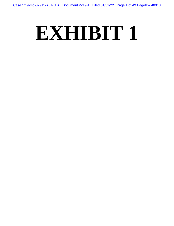# **EXHIBIT 1**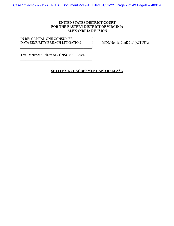Case 1:19-md-02915-AJT-JFA Document 2219-1 Filed 01/31/22 Page 2 of 49 PageID# 48919

# **UNITED STATES DISTRICT COURT FOR THE EASTERN DISTRICT OF VIRGINIA ALEXANDRIA DIVISION**

IN RE: CAPITAL ONE CONSUMER  $($ DATA SECURITY BREACH LITIGATION ) MDL No. 1:19md2915 (AJT/JFA)  $\qquad \qquad \qquad \qquad \qquad \qquad \qquad$ 

This Document Relates to CONSUMER Cases

# **SETTLEMENT AGREEMENT AND RELEASE**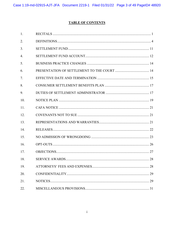# **TABLE OF CONTENTS**

| 1.  |    |
|-----|----|
| 2.  |    |
| 3.  |    |
| 4.  |    |
| 5.  |    |
| 6.  |    |
| 7.  |    |
| 8.  |    |
| 9.  |    |
| 10. |    |
| 11. |    |
| 12. |    |
| 13. |    |
| 14. |    |
| 15. |    |
| 16. |    |
| 17. |    |
| 18. | 28 |
| 19. |    |
| 20. |    |
| 21. |    |
| 22. |    |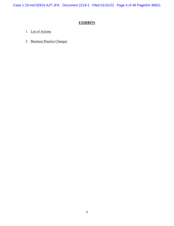Case 1:19-md-02915-AJT-JFA Document 2219-1 Filed 01/31/22 Page 4 of 49 PageID# 48921

# **EXHIBITS**

- 1. List of Actions
- 2. Business Practice Changes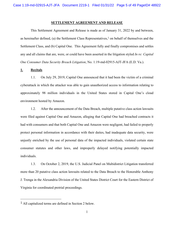#### **SETTLEMENT AGREEMENT AND RELEASE**

 This Settlement Agreement and Release is made as of January 31, 2022 by and between, as hereinafter defined, (a) the Settlement Class Representatives,<sup>1</sup> on behalf of themselves and the Settlement Class, and (b) Capital One. This Agreement fully and finally compromises and settles any and all claims that are, were, or could have been asserted in the litigation styled *In re: Capital One Consumer Data Security Breach Litigation*, No. 1:19-md-02915-AJT-JFA (E.D. Va.).

#### **1. Recitals**

1.1. On July 29, 2019, Capital One announced that it had been the victim of a criminal cyberattack in which the attacker was able to gain unauthorized access to information relating to approximately 98 million individuals in the United States stored in Capital One's cloud environment hosted by Amazon.

1.2. After the announcement of the Data Breach, multiple putative class action lawsuits were filed against Capital One and Amazon, alleging that Capital One had breached contracts it had with consumers and that both Capital One and Amazon were negligent, had failed to properly protect personal information in accordance with their duties, had inadequate data security, were unjustly enriched by the use of personal data of the impacted individuals, violated certain state consumer statutes and other laws, and improperly delayed notifying potentially impacted individuals.

1.3. On October 2, 2019, the U.S. Judicial Panel on Multidistrict Litigation transferred more than 20 putative class action lawsuits related to the Data Breach to the Honorable Anthony J. Trenga in the Alexandria Division of the United States District Court for the Eastern District of Virginia for coordinated pretrial proceedings.

<sup>1</sup> All capitalized terms are defined in Section 2 below.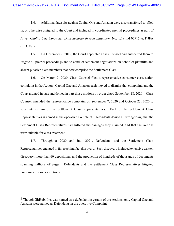1.4. Additional lawsuits against Capital One and Amazon were also transferred to, filed in, or otherwise assigned to the Court and included in coordinated pretrial proceedings as part of *In re: Capital One Consumer Data Security Breach Litigation*, No. 1:19-md-02915-AJT-JFA (E.D. Va.).

1.5. On December 2, 2019, the Court appointed Class Counsel and authorized them to litigate all pretrial proceedings and to conduct settlement negotiations on behalf of plaintiffs and absent putative class members that now comprise the Settlement Class.

1.6. On March 2, 2020, Class Counsel filed a representative consumer class action complaint in the Action. Capital One and Amazon each moved to dismiss that complaint, and the Court granted in part and denied in part those motions by order dated September 18, 2020.<sup>2</sup> Class Counsel amended the representative complaint on September 7, 2020 and October 23, 2020 to substitute certain of the Settlement Class Representatives. Each of the Settlement Class Representatives is named in the operative Complaint. Defendants denied all wrongdoing, that the Settlement Class Representatives had suffered the damages they claimed, and that the Actions were suitable for class treatment.

1.7. Throughout 2020 and into 2021, Defendants and the Settlement Class Representatives engaged in far-reaching fact discovery. Such discovery included extensive written discovery, more than 60 depositions, and the production of hundreds of thousands of documents spanning millions of pages. Defendants and the Settlement Class Representatives litigated numerous discovery motions.

 $<sup>2</sup>$  Though GitHub, Inc. was named as a defendant in certain of the Actions, only Capital One and</sup> Amazon were named as Defendants in the operative Complaint.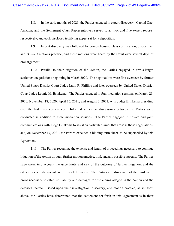1.8. In the early months of 2021, the Parties engaged in expert discovery. Capital One, Amazon, and the Settlement Class Representatives served four, two, and five expert reports, respectively, and each disclosed testifying expert sat for a deposition.

1.9. Expert discovery was followed by comprehensive class certification, dispositive, and *Daubert* motions practice, and those motions were heard by the Court over several days of oral argument.

1.10. Parallel to their litigation of the Action, the Parties engaged in arm's-length settlement negotiations beginning in March 2020. The negotiations were first overseen by former United States District Court Judge Layn R. Phillips and later overseen by United States District Court Judge Leonie M. Brinkema. The Parties engaged in four mediation sessions, on March 21, 2020, November 18, 2020, April 16, 2021, and August 3, 2021, with Judge Brinkema presiding over the last three conferences. Informal settlement discussions between the Parties were conducted in addition to these mediation sessions. The Parties engaged in private and joint communications with Judge Brinkema to assist on particular issues that arose in these negotiations, and, on December 17, 2021, the Parties executed a binding term sheet, to be superseded by this Agreement.

1.11. The Parties recognize the expense and length of proceedings necessary to continue litigation of the Action through further motion practice, trial, and any possible appeals. The Parties have taken into account the uncertainty and risk of the outcome of further litigation, and the difficulties and delays inherent in such litigation. The Parties are also aware of the burdens of proof necessary to establish liability and damages for the claims alleged in the Action and the defenses thereto. Based upon their investigation, discovery, and motion practice, as set forth above, the Parties have determined that the settlement set forth in this Agreement is in their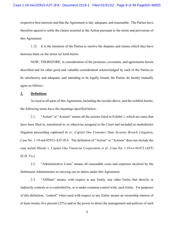respective best interests and that the Agreement is fair, adequate, and reasonable. The Parties have therefore agreed to settle the claims asserted in the Action pursuant to the terms and provisions of this Agreement.

1.12. It is the intention of the Parties to resolve the disputes and claims which they have between them on the terms set forth below.

 NOW, THEREFORE, in consideration of the promises, covenants, and agreements herein described and for other good and valuable consideration acknowledged by each of the Parties to be satisfactory and adequate, and intending to be legally bound, the Parties do hereby mutually agree as follows:

#### **2. Definitions**

 As used in all parts of this Agreement, including the recitals above, and the exhibits hereto, the following terms have the meanings specified below:

2.1. "Action" or "Actions" means all the actions listed in Exhibit 1, which are cases that have been filed in, transferred to, or otherwise assigned to the Court and included in multidistrict litigation proceeding captioned *In re: Capital One Customer Data Security Breach Litigation*, Case No. 1:19-md-02915-AJT-JFA. The definition of "Action" or "Actions" does not include the case styled *Minsky v. Capital One Financial Corporation et al.*, Case No. 1:19-cv-01472 (AJT) (E.D. Va.).

2.2. "Administrative Costs" means all reasonable costs and expenses incurred by the Settlement Administrator in carrying out its duties under this Agreement.

2.3. "Affiliate" means, with respect to any Entity, any other Entity that directly or indirectly controls or is controlled by, or is under common control with, such Entity. For purposes of this definition, "control" when used with respect to any Entity means an ownership interest of at least twenty-five percent (25%) and/or the power to direct the management and policies of such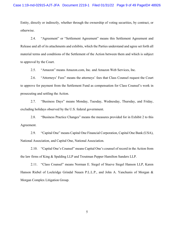Entity, directly or indirectly, whether through the ownership of voting securities, by contract, or otherwise.

2.4. "Agreement" or "Settlement Agreement" means this Settlement Agreement and Release and all of its attachments and exhibits, which the Parties understand and agree set forth all material terms and conditions of the Settlement of the Action between them and which is subject to approval by the Court.

2.5. "Amazon" means Amazon.com, Inc. and Amazon Web Services, Inc.

2.6. "Attorneys' Fees" means the attorneys' fees that Class Counsel request the Court to approve for payment from the Settlement Fund as compensation for Class Counsel's work in prosecuting and settling the Action.

2.7. "Business Days" means Monday, Tuesday, Wednesday, Thursday, and Friday, excluding holidays observed by the U.S. federal government.

2.8. "Business Practice Changes" means the measures provided for in Exhibit 2 to this Agreement.

2.9. "Capital One" means Capital One Financial Corporation, Capital One Bank (USA), National Association, and Capital One, National Association.

2.10. "Capital One's Counsel" means Capital One's counsel of record in the Action from the law firms of King & Spalding LLP and Troutman Pepper Hamilton Sanders LLP.

2.11. "Class Counsel" means Norman E. Siegel of Stueve Siegel Hanson LLP, Karen Hanson Riebel of Lockridge Grindal Nauen P.L.L.P., and John A. Yanchunis of Morgan & Morgan Complex Litigation Group.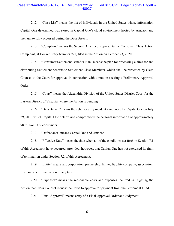#### Case 1:19-md-02915-AJT-JFA Document 2219-1 Filed 01/31/22 Page 10 of 49 PageID# 48927

2.12. "Class List" means the list of individuals in the United States whose information Capital One determined was stored in Capital One's cloud environment hosted by Amazon and then unlawfully accessed during the Data Breach.

2.13. "Complaint" means the Second Amended Representative Consumer Class Action Complaint, at Docket Entry Number 971, filed in the Action on October 23, 2020.

2.14. "Consumer Settlement Benefits Plan" means the plan for processing claims for and distributing Settlement benefits to Settlement Class Members, which shall be presented by Class Counsel to the Court for approval in connection with a motion seeking a Preliminary Approval Order.

2.15. "Court" means the Alexandria Division of the United States District Court for the Eastern District of Virginia, where the Action is pending.

2.16. "Data Breach" means the cybersecurity incident announced by Capital One on July 29, 2019 which Capital One determined compromised the personal information of approximately 98 million U.S. consumers.

2.17. "Defendants" means Capital One and Amazon.

2.18. "Effective Date" means the date when all of the conditions set forth in Section 7.1 of this Agreement have occurred, provided, however, that Capital One has not exercised its right of termination under Section 7.2 of this Agreement.

2.19. "Entity" means any corporation, partnership, limited liability company, association, trust, or other organization of any type.

2.20. "Expenses" means the reasonable costs and expenses incurred in litigating the Action that Class Counsel request the Court to approve for payment from the Settlement Fund.

2.21. "Final Approval" means entry of a Final Approval Order and Judgment.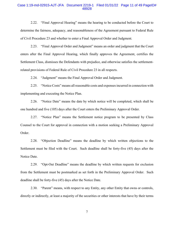#### Case 1:19-md-02915-AJT-JFA Document 2219-1 Filed 01/31/22 Page 11 of 49 PageID# 48928

2.22. "Final Approval Hearing" means the hearing to be conducted before the Court to determine the fairness, adequacy, and reasonableness of the Agreement pursuant to Federal Rule of Civil Procedure 23 and whether to enter a Final Approval Order and Judgment.

2.23. "Final Approval Order and Judgment" means an order and judgment that the Court enters after the Final Approval Hearing, which finally approves the Agreement, certifies the Settlement Class, dismisses the Defendants with prejudice, and otherwise satisfies the settlementrelated provisions of Federal Rule of Civil Procedure 23 in all respects.

2.24. "Judgment" means the Final Approval Order and Judgment.

2.25. "Notice Costs" means all reasonable costs and expenses incurred in connection with implementing and executing the Notice Plan.

2.26. "Notice Date" means the date by which notice will be completed, which shall be one hundred and five (105) days after the Court enters the Preliminary Approval Order.

2.27. "Notice Plan" means the Settlement notice program to be presented by Class Counsel to the Court for approval in connection with a motion seeking a Preliminary Approval Order.

2.28. "Objection Deadline" means the deadline by which written objections to the Settlement must be filed with the Court. Such deadline shall be forty-five (45) days after the Notice Date.

2.29. "Opt-Out Deadline" means the deadline by which written requests for exclusion from the Settlement must be postmarked as set forth in the Preliminary Approval Order. Such deadline shall be forty-five (45) days after the Notice Date.

2.30. "Parent" means, with respect to any Entity, any other Entity that owns or controls, directly or indirectly, at least a majority of the securities or other interests that have by their terms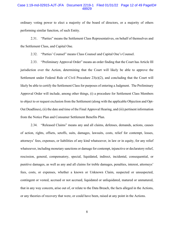#### Case 1:19-md-02915-AJT-JFA Document 2219-1 Filed 01/31/22 Page 12 of 49 PageID# 48929

ordinary voting power to elect a majority of the board of directors, or a majority of others performing similar function, of such Entity.

2.31. "Parties" means the Settlement Class Representatives, on behalf of themselves and the Settlement Class, and Capital One.

2.32. "Parties' Counsel" means Class Counsel and Capital One's Counsel.

2.33. "Preliminary Approval Order" means an order finding that the Court has Article III jurisdiction over the Action, determining that the Court will likely be able to approve the Settlement under Federal Rule of Civil Procedure  $23(e)(2)$ , and concluding that the Court will likely be able to certify the Settlement Class for purposes of entering a Judgment. The Preliminary Approval Order will include, among other things, (i) a procedure for Settlement Class Members to object to or request exclusion from the Settlement (along with the applicable Objection and Opt-Out Deadlines), (ii) the date and time of the Final Approval Hearing, and (iii) pertinent information from the Notice Plan and Consumer Settlement Benefits Plan.

2.34. "Released Claims" means any and all claims, defenses, demands, actions, causes of action, rights, offsets, setoffs, suits, damages, lawsuits, costs, relief for contempt, losses, attorneys' fees, expenses, or liabilities of any kind whatsoever, in law or in equity, for any relief whatsoever, including monetary sanctions or damage for contempt, injunctive or declaratory relief, rescission, general, compensatory, special, liquidated, indirect, incidental, consequential, or punitive damages, as well as any and all claims for treble damages, penalties, interest, attorneys' fees, costs, or expenses, whether a known or Unknown Claim, suspected or unsuspected, contingent or vested, accrued or not accrued, liquidated or unliquidated, matured or unmatured, that in any way concern, arise out of, or relate to the Data Breach, the facts alleged in the Actions, or any theories of recovery that were, or could have been, raised at any point in the Actions.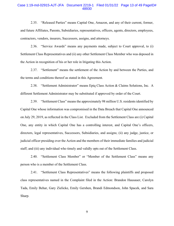#### Case 1:19-md-02915-AJT-JFA Document 2219-1 Filed 01/31/22 Page 13 of 49 PageID# 48930

2.35. "Released Parties" means Capital One, Amazon, and any of their current, former, and future Affiliates, Parents, Subsidiaries, representatives, officers, agents, directors, employees, contractors, vendors, insurers, Successors, assigns, and attorneys.

2.36. "Service Awards" means any payments made, subject to Court approval, to (i) Settlement Class Representatives and (ii) any other Settlement Class Member who was deposed in the Action in recognition of his or her role in litigating this Action.

2.37. "Settlement" means the settlement of the Action by and between the Parties, and the terms and conditions thereof as stated in this Agreement.

2.38. "Settlement Administrator" means Epiq Class Action & Claims Solutions, Inc. A different Settlement Administrator may be substituted if approved by order of the Court.

2.39. "Settlement Class" means the approximately 98 million U.S. residents identified by Capital One whose information was compromised in the Data Breach that Capital One announced on July 29, 2019, as reflected in the Class List. Excluded from the Settlement Class are (i) Capital One, any entity in which Capital One has a controlling interest, and Capital One's officers, directors, legal representatives, Successors, Subsidiaries, and assigns; (ii) any judge, justice, or judicial officer presiding over the Action and the members of their immediate families and judicial staff; and (iii) any individual who timely and validly opts out of the Settlement Class.

2.40. "Settlement Class Member" or "Member of the Settlement Class" means any person who is a member of the Settlement Class.

2.41. "Settlement Class Representatives" means the following plaintiffs and proposed class representatives named in the Complaint filed in the Action: Brandon Hausauer, Carolyn Tada, Emily Behar, Gary Zielicke, Emily Gershen, Brandi Edmondson, John Spacek, and Sara Sharp.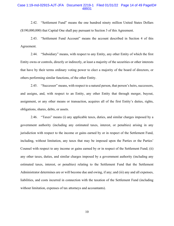#### Case 1:19-md-02915-AJT-JFA Document 2219-1 Filed 01/31/22 Page 14 of 49 PageID# 48931

2.42. "Settlement Fund" means the one hundred ninety million United States Dollars (\$190,000,000) that Capital One shall pay pursuant to Section 3 of this Agreement.

2.43. "Settlement Fund Account" means the account described in Section 4 of this Agreement.

2.44. "Subsidiary" means, with respect to any Entity, any other Entity of which the first Entity owns or controls, directly or indirectly, at least a majority of the securities or other interests that have by their terms ordinary voting power to elect a majority of the board of directors, or others performing similar functions, of the other Entity.

2.45. "Successor" means, with respect to a natural person, that person's heirs, successors, and assigns, and, with respect to an Entity, any other Entity that through merger, buyout, assignment, or any other means or transaction, acquires all of the first Entity's duties, rights, obligations, shares, debts, or assets.

2.46. "Taxes" means (i) any applicable taxes, duties, and similar charges imposed by a government authority (including any estimated taxes, interest, or penalties) arising in any jurisdiction with respect to the income or gains earned by or in respect of the Settlement Fund, including, without limitation, any taxes that may be imposed upon the Parties or the Parties' Counsel with respect to any income or gains earned by or in respect of the Settlement Fund; (ii) any other taxes, duties, and similar charges imposed by a government authority (including any estimated taxes, interest, or penalties) relating to the Settlement Fund that the Settlement Administrator determines are or will become due and owing, if any; and (iii) any and all expenses, liabilities, and costs incurred in connection with the taxation of the Settlement Fund (including without limitation, expenses of tax attorneys and accountants).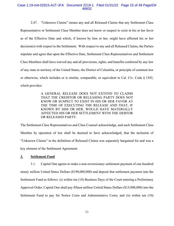#### Case 1:19-md-02915-AJT-JFA Document 2219-1 Filed 01/31/22 Page 15 of 49 PageID# 48932

2.47. "Unknown Claims" means any and all Released Claims that any Settlement Class Representative or Settlement Class Member does not know or suspect to exist in his or her favor as of the Effective Date and which, if known by him or her, might have affected his or her decision(s) with respect to the Settlement. With respect to any and all Released Claims, the Parties stipulate and agree that upon the Effective Date, Settlement Class Representatives and Settlement Class Members shall have waived any and all provisions, rights, and benefits conferred by any law of any state or territory of the United States, the District of Columbia, or principle of common law or otherwise, which includes or is similar, comparable, or equivalent to Cal. Civ. Code  $\S 1542$ , which provides:

> A GENERAL RELEASE DOES NOT EXTEND TO CLAIMS THAT THE CREDITOR OR RELEASING PARTY DOES NOT KNOW OR SUSPECT TO EXIST IN HIS OR HER FAVOR AT THE TIME OF EXECUTING THE RELEASE AND THAT, IF KNOWN BY HIM OR HER, WOULD HAVE MATERIALLY AFFECTED HIS OR HER SETTLEMENT WITH THE DEBTOR OR RELEASED PARTY.

The Settlement Class Representatives and Class Counsel acknowledge, and each Settlement Class Member by operation of law shall be deemed to have acknowledged, that the inclusion of "Unknown Claims" in the definition of Released Claims was separately bargained for and was a key element of the Settlement Agreement.

#### **3. Settlement Fund**

3.1. Capital One agrees to make a non-reversionary settlement payment of one hundred ninety million United States Dollars (\$190,000,000) and deposit that settlement payment into the Settlement Fund as follows: (i) within ten (10) Business Days of the Court entering a Preliminary Approval Order, Capital One shall pay fifteen million United States Dollars (\$15,000,000) into the Settlement Fund to pay for Notice Costs and Administrative Costs; and (ii) within ten (10)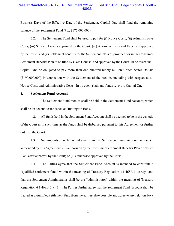#### Case 1:19-md-02915-AJT-JFA Document 2219-1 Filed 01/31/22 Page 16 of 49 PageID# 48933

Business Days of the Effective Date of the Settlement, Capital One shall fund the remaining balance of the Settlement Fund (*i.e.*, \$175,000,000).

3.2. The Settlement Fund shall be used to pay for (i) Notice Costs; (ii) Administrative Costs; (iii) Service Awards approved by the Court; (iv) Attorneys' Fees and Expenses approved by the Court; and (v) Settlement benefits for the Settlement Class as provided for in the Consumer Settlement Benefits Plan to be filed by Class Counsel and approved by the Court. In no event shall Capital One be obligated to pay more than one hundred ninety million United States Dollars (\$190,000,000) in connection with the Settlement of the Action, including with respect to all Notice Costs and Administrative Costs. In no event shall any funds revert to Capital One.

#### **4. Settlement Fund Account**

4.1. The Settlement Fund monies shall be held in the Settlement Fund Account, which shall be an account established at Huntington Bank.

4.2. All funds held in the Settlement Fund Account shall be deemed to be in the custody of the Court until such time as the funds shall be disbursed pursuant to this Agreement or further order of the Court.

4.3. No amounts may be withdrawn from the Settlement Fund Account unless (i) authorized by this Agreement; (ii) authorized by the Consumer Settlement Benefits Plan or Notice Plan, after approval by the Court; or (iii) otherwise approved by the Court.

4.4. The Parties agree that the Settlement Fund Account is intended to constitute a "qualified settlement fund" within the meaning of Treasury Regulation § 1.468B-1, *et seq*., and that the Settlement Administrator shall be the "administrator" within the meaning of Treasury Regulation  $\S$  1.468B-2(k)(3). The Parties further agree that the Settlement Fund Account shall be treated as a qualified settlement fund from the earliest date possible and agree to any relation-back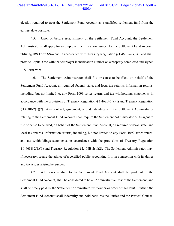#### Case 1:19-md-02915-AJT-JFA Document 2219-1 Filed 01/31/22 Page 17 of 49 PageID# 48934

election required to treat the Settlement Fund Account as a qualified settlement fund from the earliest date possible.

4.5. Upon or before establishment of the Settlement Fund Account, the Settlement Administrator shall apply for an employer identification number for the Settlement Fund Account utilizing IRS Form SS-4 and in accordance with Treasury Regulation  $\S$  1.468B-2(k)(4), and shall provide Capital One with that employer identification number on a properly completed and signed IRS Form W-9.

4.6. The Settlement Administrator shall file or cause to be filed, on behalf of the Settlement Fund Account, all required federal, state, and local tax returns, information returns, including, but not limited to, any Form 1099-series return, and tax withholdings statements, in accordance with the provisions of Treasury Regulation  $\S 1.468B-2(k)$  and Treasury Regulation  $§$  1.468B-2(1)(2). Any contract, agreement, or understanding with the Settlement Administrator relating to the Settlement Fund Account shall require the Settlement Administrator or its agent to file or cause to be filed, on behalf of the Settlement Fund Account, all required federal, state, and local tax returns, information returns, including, but not limited to any Form 1099-series return, and tax withholdings statements, in accordance with the provisions of Treasury Regulation  $\S 1.468B-2(k)(1)$  and Treasury Regulation  $\S 1.468B-2(1)(2)$ . The Settlement Administrator may, if necessary, secure the advice of a certified public accounting firm in connection with its duties and tax issues arising hereunder.

4.7. All Taxes relating to the Settlement Fund Account shall be paid out of the Settlement Fund Account, shall be considered to be an Administrative Cost of the Settlement, and shall be timely paid by the Settlement Administrator without prior order of the Court. Further, the Settlement Fund Account shall indemnify and hold harmless the Parties and the Parties' Counsel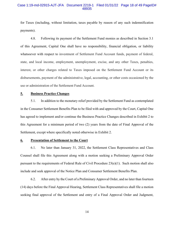#### Case 1:19-md-02915-AJT-JFA Document 2219-1 Filed 01/31/22 Page 18 of 49 PageID# 48935

for Taxes (including, without limitation, taxes payable by reason of any such indemnification payments).

4.8. Following its payment of the Settlement Fund monies as described in Section 3.1 of this Agreement, Capital One shall have no responsibility, financial obligation, or liability whatsoever with respect to investment of Settlement Fund Account funds, payment of federal, state, and local income, employment, unemployment, excise, and any other Taxes, penalties, interest, or other charges related to Taxes imposed on the Settlement Fund Account or its disbursements, payment of the administrative, legal, accounting, or other costs occasioned by the use or administration of the Settlement Fund Account.

#### **5. Business Practice Changes**

5.1. In addition to the monetary relief provided by the Settlement Fund as contemplated in the Consumer Settlement Benefits Plan to be filed with and approved by the Court, Capital One has agreed to implement and/or continue the Business Practice Changes described in Exhibit 2 to this Agreement for a minimum period of two (2) years from the date of Final Approval of the Settlement, except where specifically noted otherwise in Exhibit 2.

#### **6. Presentation of Settlement to the Court**

6.1. No later than January 31, 2022, the Settlement Class Representatives and Class Counsel shall file this Agreement along with a motion seeking a Preliminary Approval Order pursuant to the requirements of Federal Rule of Civil Procedure 23(e)(1). Such motion shall also include and seek approval of the Notice Plan and Consumer Settlement Benefits Plan.

6.2. After entry by the Court of a Preliminary Approval Order, and no later than fourteen (14) days before the Final Approval Hearing, Settlement Class Representatives shall file a motion seeking final approval of the Settlement and entry of a Final Approval Order and Judgment,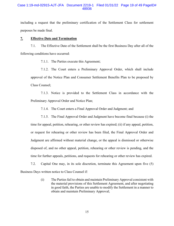# Case 1:19-md-02915-AJT-JFA Document 2219-1 Filed 01/31/22 Page 19 of 49 PageID# 48936

including a request that the preliminary certification of the Settlement Class for settlement purposes be made final.

# **7. Effective Date and Termination**

7.1. The Effective Date of the Settlement shall be the first Business Day after all of the following conditions have occurred:

7.1.1. The Parties execute this Agreement;

7.1.2. The Court enters a Preliminary Approval Order, which shall include approval of the Notice Plan and Consumer Settlement Benefits Plan to be proposed by Class Counsel;

7.1.3. Notice is provided to the Settlement Class in accordance with the Preliminary Approval Order and Notice Plan;

7.1.4. The Court enters a Final Approval Order and Judgment; and

7.1.5. The Final Approval Order and Judgment have become final because (i) the time for appeal, petition, rehearing, or other review has expired; (ii) if any appeal, petition, or request for rehearing or other review has been filed, the Final Approval Order and Judgment are affirmed without material change, or the appeal is dismissed or otherwise disposed of, and no other appeal, petition, rehearing or other review is pending, and the time for further appeals, petitions, and requests for rehearing or other review has expired.

7.2. Capital One may, in its sole discretion, terminate this Agreement upon five (5) Business Days written notice to Class Counsel if:

> (i) The Parties fail to obtain and maintain Preliminary Approval consistent with the material provisions of this Settlement Agreement, and after negotiating in good faith, the Parties are unable to modify the Settlement in a manner to obtain and maintain Preliminary Approval;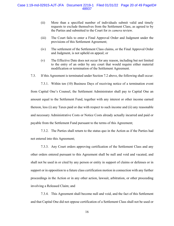- (ii) More than a specified number of individuals submit valid and timely requests to exclude themselves from the Settlement Class, as agreed to by the Parties and submitted to the Court for *in camera* review.
- (iii) The Court fails to enter a Final Approval Order and Judgment under the provisions of this Settlement Agreement;
- (iv) The settlement of the Settlement Class claims, or the Final Approval Order and Judgment, is not upheld on appeal; or
- (v) The Effective Date does not occur for any reason, including but not limited to the entry of an order by any court that would require either material modification or termination of the Settlement Agreement.
- 7.3. If this Agreement is terminated under Section 7.2 above, the following shall occur:
	- 7.3.1. Within ten (10) Business Days of receiving notice of a termination event

from Capital One's Counsel, the Settlement Administrator shall pay to Capital One an amount equal to the Settlement Fund, together with any interest or other income earned thereon, less (i) any Taxes paid or due with respect to such income and (ii) any reasonable and necessary Administrative Costs or Notice Costs already actually incurred and paid or payable from the Settlement Fund pursuant to the terms of this Agreement;

7.3.2. The Parties shall return to the status quo in the Action as if the Parties had not entered into this Agreement;

7.3.3. Any Court orders approving certification of the Settlement Class and any other orders entered pursuant to this Agreement shall be null and void and vacated, and shall not be used in or cited by any person or entity in support of claims or defenses or in support or in opposition to a future class certification motion in connection with any further proceedings in the Action or in any other action, lawsuit, arbitration, or other proceeding involving a Released Claim; and

7.3.4. This Agreement shall become null and void, and the fact of this Settlement and that Capital One did not oppose certification of a Settlement Class shall not be used or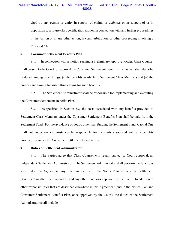# Case 1:19-md-02915-AJT-JFA Document 2219-1 Filed 01/31/22 Page 21 of 49 PageID# 48938

cited by any person or entity in support of claims or defenses or in support of or in opposition to a future class certification motion in connection with any further proceedings in the Action or in any other action, lawsuit, arbitration, or other proceeding involving a Released Claim.

#### **8. Consumer Settlement Benefits Plan**

8.1. In connection with a motion seeking a Preliminary Approval Order, Class Counsel shall present to the Court for approval the Consumer Settlement Benefits Plan, which shall describe in detail, among other things, (i) the benefits available to Settlement Class Members and (ii) the process and timing for submitting claims for such benefits.

8.2. The Settlement Administrator shall be responsible for implementing and executing the Consumer Settlement Benefits Plan.

8.3. As specified in Section 3.2, the costs associated with any benefits provided to Settlement Class Members under the Consumer Settlement Benefits Plan shall be paid from the Settlement Fund. For the avoidance of doubt, other than funding the Settlement Fund, Capital One shall not under any circumstances be responsible for the costs associated with any benefits provided for under the Consumer Settlement Benefits Plan.

**9. Duties of Settlement Administrator** 

9.1. The Parties agree that Class Counsel will retain, subject to Court approval, an independent Settlement Administrator. The Settlement Administrator shall perform the functions specified in this Agreement, any functions specified in the Notice Plan or Consumer Settlement Benefits Plan after Court approval, and any other functions approved by the Court. In addition to other responsibilities that are described elsewhere in this Agreement (and in the Notice Plan and Consumer Settlement Benefits Plan, once approved by the Court), the duties of the Settlement Administrator shall include: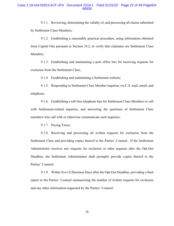9.1.1. Reviewing, determining the validity of, and processing all claims submitted by Settlement Class Members;

9.1.2. Establishing a reasonably practical procedure, using information obtained from Capital One pursuant to Section 10.2, to verify that claimants are Settlement Class Members.

9.1.3. Establishing and maintaining a post office box for receiving requests for exclusion from the Settlement Class;

9.1.4. Establishing and maintaining a Settlement website;

9.1.5. Responding to Settlement Class Member inquiries via U.S. mail, email, and telephone;

9.1.6. Establishing a toll-free telephone line for Settlement Class Members to call with Settlement-related inquiries, and answering the questions of Settlement Class members who call with or otherwise communicate such inquiries;

9.1.7. Paying Taxes;

9.1.8. Receiving and processing all written requests for exclusion from the Settlement Class and providing copies thereof to the Parties' Counsel. If the Settlement Administrator receives any requests for exclusion or other requests after the Opt-Out Deadline, the Settlement Administrator shall promptly provide copies thereof to the Parties' Counsel;

9.1.9. Within five (5) Business Days after the Opt-Out Deadline, providing a final report to the Parties' Counsel summarizing the number of written requests for exclusion and any other information requested by the Parties' Counsel;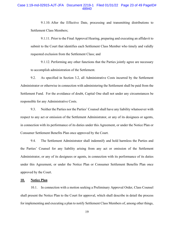#### Case 1:19-md-02915-AJT-JFA Document 2219-1 Filed 01/31/22 Page 23 of 49 PageID# 48940

9.1.10. After the Effective Date, processing and transmitting distributions to Settlement Class Members;

9.1.11. Prior to the Final Approval Hearing, preparing and executing an affidavit to submit to the Court that identifies each Settlement Class Member who timely and validly requested exclusion from the Settlement Class; and

9.1.12. Performing any other functions that the Parties jointly agree are necessary to accomplish administration of the Settlement.

9.2. As specified in Section 3.2, all Administrative Costs incurred by the Settlement Administrator or otherwise in connection with administering the Settlement shall be paid from the Settlement Fund. For the avoidance of doubt, Capital One shall not under any circumstances be responsible for any Administrative Costs.

9.3. Neither the Parties nor the Parties' Counsel shall have any liability whatsoever with respect to any act or omission of the Settlement Administrator, or any of its designees or agents, in connection with its performance of its duties under this Agreement, or under the Notice Plan or Consumer Settlement Benefits Plan once approved by the Court.

9.4. The Settlement Administrator shall indemnify and hold harmless the Parties and the Parties' Counsel for any liability arising from any act or omission of the Settlement Administrator, or any of its designees or agents, in connection with its performance of its duties under this Agreement, or under the Notice Plan or Consumer Settlement Benefits Plan once approved by the Court.

#### **10. Notice Plan**

10.1. In connection with a motion seeking a Preliminary Approval Order, Class Counsel shall present the Notice Plan to the Court for approval, which shall describe in detail the process for implementing and executing a plan to notify Settlement Class Members of, among other things,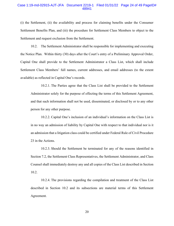#### Case 1:19-md-02915-AJT-JFA Document 2219-1 Filed 01/31/22 Page 24 of 49 PageID# 48941

(i) the Settlement, (ii) the availability and process for claiming benefits under the Consumer Settlement Benefits Plan, and (iii) the procedure for Settlement Class Members to object to the Settlement and request exclusion from the Settlement.

10.2. The Settlement Administrator shall be responsible for implementing and executing the Notice Plan. Within thirty (30) days after the Court's entry of a Preliminary Approval Order, Capital One shall provide to the Settlement Administrator a Class List, which shall include Settlement Class Members' full names, current addresses, and email addresses (to the extent available) as reflected in Capital One's records.

10.2.1. The Parties agree that the Class List shall be provided to the Settlement Administrator solely for the purpose of effecting the terms of this Settlement Agreement, and that such information shall not be used, disseminated, or disclosed by or to any other person for any other purpose.

10.2.2. Capital One's inclusion of an individual's information on the Class List is in no way an admission of liability by Capital One with respect to that individual nor is it an admission that a litigation class could be certified under Federal Rule of Civil Procedure 23 in the Actions.

10.2.3. Should the Settlement be terminated for any of the reasons identified in Section 7.2, the Settlement Class Representatives, the Settlement Administrator, and Class Counsel shall immediately destroy any and all copies of the Class List described in Section 10.2.

10.2.4. The provisions regarding the compilation and treatment of the Class List described in Section 10.2 and its subsections are material terms of this Settlement Agreement.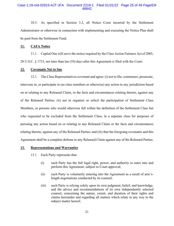#### Case 1:19-md-02915-AJT-JFA Document 2219-1 Filed 01/31/22 Page 25 of 49 PageID# 48942

10.3. As specified in Section 3.2, all Notice Costs incurred by the Settlement Administrator or otherwise in connection with implementing and executing the Notice Plan shall be paid from the Settlement Fund.

# **11. CAFA Notice**

11.1. Capital One will serve the notice required by the Class Action Fairness Act of 2005, 28 U.S.C. § 1715, not later than ten (10) days after this Agreement is filed with the Court.

#### **12. Covenants Not to Sue**

12.1. The Class Representatives covenant and agree: (i) not to file, commence, prosecute, intervene in, or participate in (as class members or otherwise) any action in any jurisdiction based on or relating to any Released Claim, or the facts and circumstances relating thereto, against any of the Released Parties; (ii) not to organize or solicit the participation of Settlement Class Members, or persons who would otherwise fall within the definition of the Settlement Class but who requested to be excluded from the Settlement Class, in a separate class for purposes of pursuing any action based on or relating to any Released Claim or the facts and circumstances relating thereto, against any of the Released Parties; and (iii) that the foregoing covenants and this Agreement shall be a complete defense to any Released Claim against any of the Released Parties.

#### **13. Representations and Warranties**

13.1. Each Party represents that:

- (i) such Party has the full legal right, power, and authority to enter into and perform this Agreement, subject to Court approval;
- (ii) such Party is voluntarily entering into the Agreement as a result of arm'slength negotiations conducted by its counsel;
- (iii) such Party is relying solely upon its own judgment, belief, and knowledge, and the advice and recommendations of its own independently selected counsel, concerning the nature, extent, and duration of their rights and claims hereunder and regarding all matters which relate in any way to the subject matter hereof;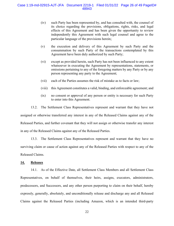- (iv) such Party has been represented by, and has consulted with, the counsel of its choice regarding the provisions, obligations, rights, risks, and legal effects of this Agreement and has been given the opportunity to review independently this Agreement with such legal counsel and agree to the particular language of the provisions herein;
- (v) the execution and delivery of this Agreement by such Party and the consummation by such Party of the transactions contemplated by this Agreement have been duly authorized by such Party;
- (vi) except as provided herein, such Party has not been influenced to any extent whatsoever in executing the Agreement by representations, statements, or omissions pertaining to any of the foregoing matters by any Party or by any person representing any party to the Agreement;
- (vii) each of the Parties assumes the risk of mistake as to facts or law;
- (viii) this Agreement constitutes a valid, binding, and enforceable agreement; and
- (ix) no consent or approval of any person or entity is necessary for such Party to enter into this Agreement.

13.2. The Settlement Class Representatives represent and warrant that they have not assigned or otherwise transferred any interest in any of the Released Claims against any of the Released Parties, and further covenant that they will not assign or otherwise transfer any interest in any of the Released Claims against any of the Released Parties.

13.3. The Settlement Class Representatives represent and warrant that they have no surviving claim or cause of action against any of the Released Parties with respect to any of the Released Claims.

#### **14. Releases**

14.1. As of the Effective Date, all Settlement Class Members and all Settlement Class Representatives, on behalf of themselves, their heirs, assigns, executors, administrators, predecessors, and Successors, and any other person purporting to claim on their behalf, hereby expressly, generally, absolutely, and unconditionally release and discharge any and all Released Claims against the Released Parties (including Amazon, which is an intended third-party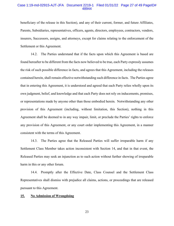#### Case 1:19-md-02915-AJT-JFA Document 2219-1 Filed 01/31/22 Page 27 of 49 PageID# 48944

beneficiary of the release in this Section), and any of their current, former, and future Affiliates, Parents, Subsidiaries, representatives, officers, agents, directors, employees, contractors, vendors, insurers, Successors, assigns, and attorneys, except for claims relating to the enforcement of the Settlement or this Agreement.

14.2. The Parties understand that if the facts upon which this Agreement is based are found hereafter to be different from the facts now believed to be true, each Party expressly assumes the risk of such possible difference in facts, and agrees that this Agreement, including the releases contained herein, shall remain effective notwithstanding such difference in facts. The Parties agree that in entering this Agreement, it is understood and agreed that each Party relies wholly upon its own judgment, belief, and knowledge and that each Party does not rely on inducements, promises, or representations made by anyone other than those embodied herein. Notwithstanding any other provision of this Agreement (including, without limitation, this Section), nothing in this Agreement shall be deemed to in any way impair, limit, or preclude the Parties' rights to enforce any provision of this Agreement, or any court order implementing this Agreement, in a manner consistent with the terms of this Agreement.

14.3. The Parties agree that the Released Parties will suffer irreparable harm if any Settlement Class Member takes action inconsistent with Section 14, and that in that event, the Released Parties may seek an injunction as to such action without further showing of irreparable harm in this or any other forum.

14.4. Promptly after the Effective Date, Class Counsel and the Settlement Class Representatives shall dismiss with prejudice all claims, actions, or proceedings that are released pursuant to this Agreement.

#### **15. No Admission of Wrongdoing**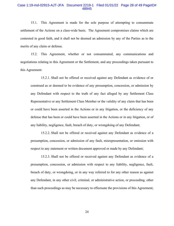#### Case 1:19-md-02915-AJT-JFA Document 2219-1 Filed 01/31/22 Page 28 of 49 PageID# 48945

15.1. This Agreement is made for the sole purpose of attempting to consummate settlement of the Actions on a class-wide basis. The Agreement compromises claims which are contested in good faith, and it shall not be deemed an admission by any of the Parties as to the merits of any claim or defense.

15.2. This Agreement, whether or not consummated, any communications and negotiations relating to this Agreement or the Settlement, and any proceedings taken pursuant to this Agreement:

15.2.1. Shall not be offered or received against any Defendant as evidence of or construed as or deemed to be evidence of any presumption, concession, or admission by any Defendant with respect to the truth of any fact alleged by any Settlement Class Representative or any Settlement Class Member or the validity of any claim that has been or could have been asserted in the Actions or in any litigation, or the deficiency of any defense that has been or could have been asserted in the Actions or in any litigation, or of any liability, negligence, fault, breach of duty, or wrongdoing of any Defendant;

15.2.2. Shall not be offered or received against any Defendant as evidence of a presumption, concession, or admission of any fault, misrepresentation, or omission with respect to any statement or written document approved or made by any Defendant;

15.2.3. Shall not be offered or received against any Defendant as evidence of a presumption, concession, or admission with respect to any liability, negligence, fault, breach of duty, or wrongdoing, or in any way referred to for any other reason as against any Defendant, in any other civil, criminal, or administrative action, or proceeding, other than such proceedings as may be necessary to effectuate the provisions of this Agreement;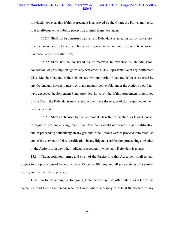#### Case 1:19-md-02915-AJT-JFA Document 2219-1 Filed 01/31/22 Page 29 of 49 PageID# 48946

provided, however, that if this Agreement is approved by the Court, the Parties may refer to it to effectuate the liability protection granted them hereunder;

15.2.4. Shall not be construed against any Defendant as an admission or concession that the consideration to be given hereunder represents the amount that could be or would have been recovered after trial;

15.2.5. Shall not be construed as or received in evidence as an admission, concession, or presumption against any Settlement Class Representative or any Settlement Class Member that any of their claims are without merit, or that any defenses asserted by any Defendants have any merit, or that damages recoverable under the Actions would not have exceeded the Settlement Fund, provided, however, that if this Agreement is approved by the Court, the Defendants may refer to it to enforce the release of claims granted to them hereunder; and

15.2.6. Shall not be used by the Settlement Class Representatives or Class Counsel to argue or present any argument that Defendants could not contest class certification and/or proceeding collectively on any grounds if the Actions were to proceed or to establish any of the elements of class certification in any litigated certification proceedings, whether in the Actions or in any other judicial proceeding in which any Defendant is a party.

15.3. The negotiation, terms, and entry of the Parties into this Agreement shall remain subject to the provisions of Federal Rule of Evidence 408, any and all state statutes of a similar nature, and the mediation privilege.

15.4. Notwithstanding the foregoing, Defendants may use, offer, admit, or refer to this Agreement and to the Settlement reached herein where necessary to defend themselves in any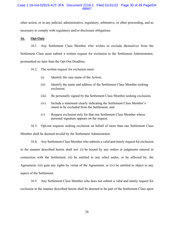#### Case 1:19-md-02915-AJT-JFA Document 2219-1 Filed 01/31/22 Page 30 of 49 PageID# 48947

other action, or in any judicial, administrative, regulatory, arbitrative, or other proceeding, and as necessary to comply with regulatory and/or disclosure obligations.

# **16. Opt-Outs**

16.1. Any Settlement Class Member who wishes to exclude themselves from the Settlement Class must submit a written request for exclusion to the Settlement Administrator, postmarked no later than the Opt-Out Deadline.

- 16.2. The written request for exclusion must:
	- (i) Identify the case name of the Action;
	- (ii) Identify the name and address of the Settlement Class Member seeking exclusion;
	- (iii) Be personally signed by the Settlement Class Member seeking exclusion;
	- (iv) Include a statement clearly indicating the Settlement Class Member's intent to be excluded from the Settlement; and
	- (v) Request exclusion only for that one Settlement Class Member whose personal signature appears on the request.

16.3. Opt-out requests seeking exclusion on behalf of more than one Settlement Class Member shall be deemed invalid by the Settlement Administrator.

16.4. Any Settlement Class Member who submits a valid and timely request for exclusion in the manner described herein shall not: (i) be bound by any orders or judgments entered in connection with the Settlement; (ii) be entitled to any relief under, or be affected by, the Agreement; (iii) gain any rights by virtue of the Agreement; or (iv) be entitled to object to any aspect of the Settlement.

16.5. Any Settlement Class Member who does not submit a valid and timely request for exclusion in the manner described herein shall be deemed to be part of the Settlement Class upon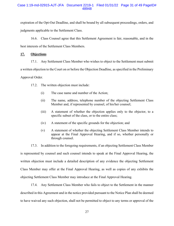# Case 1:19-md-02915-AJT-JFA Document 2219-1 Filed 01/31/22 Page 31 of 49 PageID# 48948

expiration of the Opt-Out Deadline, and shall be bound by all subsequent proceedings, orders, and judgments applicable to the Settlement Class.

16.6. Class Counsel agree that this Settlement Agreement is fair, reasonable, and in the best interests of the Settlement Class Members.

# **17. Objections**

17.1. Any Settlement Class Member who wishes to object to the Settlement must submit

a written objection to the Court on or before the Objection Deadline, as specified in the Preliminary

Approval Order.

17.2. The written objection must include:

- (i) The case name and number of the Action;
- (ii) The name, address, telephone number of the objecting Settlement Class Member and, if represented by counsel, of his/her counsel;
- (iii) A statement of whether the objection applies only to the objector, to a specific subset of the class, or to the entire class;
- (iv) A statement of the specific grounds for the objection; and
- (v) A statement of whether the objecting Settlement Class Member intends to appear at the Final Approval Hearing, and if so, whether personally or through counsel.

17.3. In addition to the foregoing requirements, if an objecting Settlement Class Member is represented by counsel and such counsel intends to speak at the Final Approval Hearing, the written objection must include a detailed description of any evidence the objecting Settlement Class Member may offer at the Final Approval Hearing, as well as copies of any exhibits the objecting Settlement Class Member may introduce at the Final Approval Hearing.

17.4. Any Settlement Class Member who fails to object to the Settlement in the manner described in this Agreement and in the notice provided pursuant to the Notice Plan shall be deemed to have waived any such objection, shall not be permitted to object to any terms or approval of the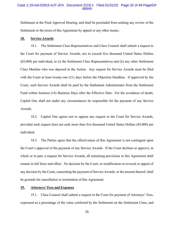#### Case 1:19-md-02915-AJT-JFA Document 2219-1 Filed 01/31/22 Page 32 of 49 PageID# 48949

Settlement at the Final Approval Hearing, and shall be precluded from seeking any review of the Settlement or the terms of this Agreement by appeal or any other means.

#### **18. Service Awards**

18.1. The Settlement Class Representatives and Class Counsel shall submit a request to the Court for payment of Service Awards, not to exceed five thousand United States Dollars (\$5,000) per individual, to (i) the Settlement Class Representatives and (ii) any other Settlement Class Member who was deposed in the Action. Any request for Service Awards must be filed with the Court at least twenty-one (21) days before the Objection Deadline. If approved by the Court, such Service Awards shall be paid by the Settlement Administrator from the Settlement Fund within fourteen (14) Business Days after the Effective Date. For the avoidance of doubt, Capital One shall not under any circumstances be responsible for the payment of any Service Awards.

18.2. Capital One agrees not to oppose any request to the Court for Service Awards, provided such request does not seek more than five thousand United States Dollars (\$5,000) per individual.

18.3. The Parties agree that the effectiveness of this Agreement is not contingent upon the Court's approval of the payment of any Service Awards. If the Court declines to approve, in whole or in part, a request for Service Awards, all remaining provisions in this Agreement shall remain in full force and effect. No decision by the Court, or modification or reversal or appeal of any decision by the Court, concerning the payment of Service Awards, or the amount thereof, shall be grounds for cancellation or termination of this Agreement.

#### **19. Attorneys' Fees and Expenses**

19.1. Class Counsel shall submit a request to the Court for payment of Attorneys' Fees, expressed as a percentage of the value conferred by the Settlement on the Settlement Class, and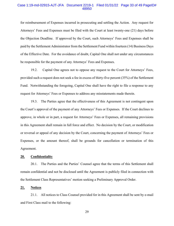#### Case 1:19-md-02915-AJT-JFA Document 2219-1 Filed 01/31/22 Page 33 of 49 PageID# 48950

for reimbursement of Expenses incurred in prosecuting and settling the Action. Any request for Attorneys' Fees and Expenses must be filed with the Court at least twenty-one (21) days before the Objection Deadline. If approved by the Court, such Attorneys' Fees and Expenses shall be paid by the Settlement Administrator from the Settlement Fund within fourteen (14) Business Days of the Effective Date. For the avoidance of doubt, Capital One shall not under any circumstances be responsible for the payment of any Attorneys' Fees and Expenses.

19.2. Capital One agrees not to oppose any request to the Court for Attorneys' Fees, provided such a request does not seek a fee in excess of thirty-five percent (35%) of the Settlement Fund. Notwithstanding the foregoing, Capital One shall have the right to file a response to any request for Attorneys' Fees or Expenses to address any misstatements made therein.

19.3. The Parties agree that the effectiveness of this Agreement is not contingent upon the Court's approval of the payment of any Attorneys' Fees or Expenses. If the Court declines to approve, in whole or in part, a request for Attorneys' Fees or Expenses, all remaining provisions in this Agreement shall remain in full force and effect. No decision by the Court, or modification or reversal or appeal of any decision by the Court, concerning the payment of Attorneys' Fees or Expenses, or the amount thereof, shall be grounds for cancellation or termination of this Agreement.

#### **20. Confidentiality**

20.1. The Parties and the Parties' Counsel agree that the terms of this Settlement shall remain confidential and not be disclosed until the Agreement is publicly filed in connection with the Settlement Class Representatives' motion seeking a Preliminary Approval Order.

#### **21. Notices**

21.1. All notices to Class Counsel provided for in this Agreement shall be sent by e-mail and First Class mail to the following: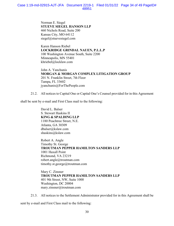Norman E. Siegel **STUEVE SIEGEL HANSON LLP**  460 Nichols Road, Suite 200 Kansas City, MO 64112 siegel@stuevesiegel.com

Karen Hanson Riebel **LOCKRIDGE GRINDAL NAUEN, P.L.L.P**  100 Washington Avenue South, Suite 2200 Minneapolis, MN 55401 khriebel@locklaw.com

John A. Yanchunis **MORGAN & MORGAN COMPLEX LITIGATION GROUP**  201 N. Franklin Street, 7th Floor Tampa, FL 33602 jyanchunis@ForThePeople.com

21.2. All notices to Capital One or Capital One's Counsel provided for in this Agreement

shall be sent by e-mail and First Class mail to the following:

David L. Balser S. Stewart Haskins II **KING & SPALDING LLP** 1180 Peachtree Street, N.E. Atlanta, GA 30309 dbalser@kslaw.com shaskins@kslaw.com

 Robert A. Angle Timothy St. George **TROUTMAN PEPPER HAMILTON SANDERS LLP**  1001 Haxall Point Richmond, VA 23219 robert.angle@troutman.com timothy.st.george@troutman.com

Mary C. Zinsner **TROUTMAN PEPPER HAMILTON SANDERS LLP**  401 9th Street, NW, Suite 1000 Washington, DC 20004 mary.zinsner@troutman.com

21.3. All notices to the Settlement Administrator provided for in this Agreement shall be

sent by e-mail and First Class mail to the following: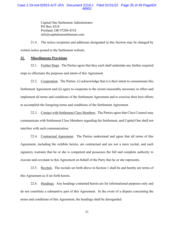Capital One Settlement Administrator PO Box 4518 Portland, OR 97208-4518 info@capitalonesettlement.com

21.4. The notice recipients and addresses designated in this Section may be changed by written notice posted to the Settlement website.

#### **22. Miscellaneous Provisions**

22.1. Further Steps. The Parties agree that they each shall undertake any further required steps to effectuate the purposes and intent of this Agreement

22.2. Cooperation. The Parties: (i) acknowledge that it is their intent to consummate this Settlement Agreement and (ii) agree to cooperate to the extent reasonably necessary to effect and implement all terms and conditions of the Settlement Agreement and to exercise their best efforts to accomplish the foregoing terms and conditions of the Settlement Agreement.

22.3. Contact with Settlement Class Members. The Parties agree that Class Counsel may communicate with Settlement Class Members regarding the Settlement, and Capital One shall not interfere with such communication.

22.4. Contractual Agreement. The Parties understand and agree that all terms of this Agreement, including the exhibits hereto, are contractual and are not a mere recital, and each signatory warrants that he or she is competent and possesses the full and complete authority to execute and covenant to this Agreement on behalf of the Party that he or she represents.

22.5. Recitals. The recitals set forth above in Section 1 shall be and hereby are terms of this Agreement as if set forth herein.

22.6. Headings. Any headings contained herein are for informational purposes only and do not constitute a substantive part of this Agreement. In the event of a dispute concerning the terms and conditions of this Agreement, the headings shall be disregarded.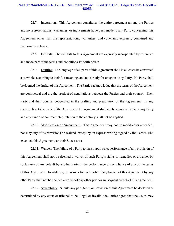#### Case 1:19-md-02915-AJT-JFA Document 2219-1 Filed 01/31/22 Page 36 of 49 PageID# 48953

22.7. Integration. This Agreement constitutes the entire agreement among the Parties and no representations, warranties, or inducements have been made to any Party concerning this Agreement other than the representations, warranties, and covenants expressly contained and memorialized herein.

22.8. Exhibits. The exhibits to this Agreement are expressly incorporated by reference and made part of the terms and conditions set forth herein.

22.9. Drafting. The language of all parts of this Agreement shall in all cases be construed as a whole, according to their fair meaning, and not strictly for or against any Party. No Party shall be deemed the drafter of this Agreement. The Parties acknowledge that the terms of the Agreement are contractual and are the product of negotiations between the Parties and their counsel. Each Party and their counsel cooperated in the drafting and preparation of the Agreement. In any construction to be made of the Agreement, the Agreement shall not be construed against any Party and any canon of contract interpretation to the contrary shall not be applied.

22.10. Modification or Amendment. This Agreement may not be modified or amended, nor may any of its provisions be waived, except by an express writing signed by the Parties who executed this Agreement, or their Successors.

22.11. Waiver. The failure of a Party to insist upon strict performance of any provision of this Agreement shall not be deemed a waiver of such Party's rights or remedies or a waiver by such Party of any default by another Party in the performance or compliance of any of the terms of this Agreement. In addition, the waiver by one Party of any breach of this Agreement by any other Party shall not be deemed a waiver of any other prior or subsequent breach of this Agreement.

22.12. Severability. Should any part, term, or provision of this Agreement be declared or determined by any court or tribunal to be illegal or invalid, the Parties agree that the Court may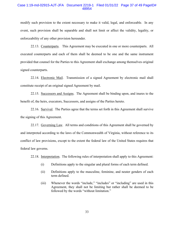#### Case 1:19-md-02915-AJT-JFA Document 2219-1 Filed 01/31/22 Page 37 of 49 PageID# 48954

modify such provision to the extent necessary to make it valid, legal, and enforceable. In any event, such provision shall be separable and shall not limit or affect the validity, legality, or enforceability of any other provision hereunder.

22.13. Counterparts. This Agreement may be executed in one or more counterparts. All executed counterparts and each of them shall be deemed to be one and the same instrument provided that counsel for the Parties to this Agreement shall exchange among themselves original signed counterparts.

22.14. Electronic Mail. Transmission of a signed Agreement by electronic mail shall constitute receipt of an original signed Agreement by mail.

22.15. Successors and Assigns. The Agreement shall be binding upon, and inures to the benefit of, the heirs, executors, Successors, and assigns of the Parties hereto.

22.16. Survival. The Parties agree that the terms set forth in this Agreement shall survive the signing of this Agreement.

22.17. Governing Law. All terms and conditions of this Agreement shall be governed by and interpreted according to the laws of the Commonwealth of Virginia, without reference to its conflict of law provisions, except to the extent the federal law of the United States requires that federal law governs.

22.18. Interpretation. The following rules of interpretation shall apply to this Agreement:

- (i) Definitions apply to the singular and plural forms of each term defined.
- (ii) Definitions apply to the masculine, feminine, and neuter genders of each term defined.
- (iii) Whenever the words "include," "includes" or "including" are used in this Agreement, they shall not be limiting but rather shall be deemed to be followed by the words "without limitation."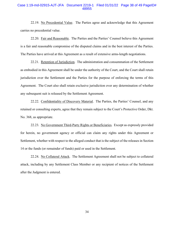#### Case 1:19-md-02915-AJT-JFA Document 2219-1 Filed 01/31/22 Page 38 of 49 PageID# 48955

22.19. No Precedential Value. The Parties agree and acknowledge that this Agreement carries no precedential value.

22.20. Fair and Reasonable. The Parties and the Parties' Counsel believe this Agreement is a fair and reasonable compromise of the disputed claims and in the best interest of the Parties. The Parties have arrived at this Agreement as a result of extensive arms-length negotiations.

22.21. Retention of Jurisdiction. The administration and consummation of the Settlement as embodied in this Agreement shall be under the authority of the Court, and the Court shall retain jurisdiction over the Settlement and the Parties for the purpose of enforcing the terms of this Agreement. The Court also shall retain exclusive jurisdiction over any determination of whether any subsequent suit is released by the Settlement Agreement.

22.22. Confidentiality of Discovery Material. The Parties, the Parties' Counsel, and any retained or consulting experts, agree that they remain subject to the Court's Protective Order, Dkt. No. 368, as appropriate.

22.23. No Government Third-Party Rights or Beneficiaries. Except as expressly provided for herein, no government agency or official can claim any rights under this Agreement or Settlement, whether with respect to the alleged conduct that is the subject of the releases in Section 14 or the funds (or remainder of funds) paid or used in the Settlement.

22.24. No Collateral Attack. The Settlement Agreement shall not be subject to collateral attack, including by any Settlement Class Member or any recipient of notices of the Settlement after the Judgment is entered.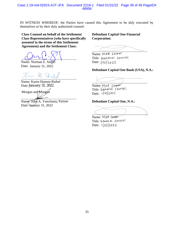IN WITNESS WHEREOF, the Parties have caused this Agreement to be duly executed by themselves or by their duly authorized counsel:

 $\overline{a}$ 

 $\overline{a}$ 

**Class Counsel on behalf of the Settlement Class Representatives (who have specifically assented to the terms of this Settlement Agreement) and the Settlement Class:**

Name: Norman E. Siegel Date: January 31, 2022

 $\overline{a}$ 

 $\mathbb{A}$ .  $\overline{a}$ 

Name: Karen Hanson Riebel Date: January 31, 2022

 $\overline{a}$ 

Name: John A. Yanchunis Date: January 31, 2022 Morgan and Morgan<br>
Name: John A. Yanchunis, Partner<br>
Date: Vandary 31, 2022

# **Defendant Capital One Financial Corporation:**

Name: Matt Cooper Title: General counsel Date:  $||3||2022$ 

# **Defendant Capital One Bank (USA), N.A.:**

Name: Matt Cooper Title: General counsel Date:  $1|31|2022$ 

# **Defendant Capital One, N.A.:**

 $\overline{a}$ 

Name: Matt Cooper Title: General Counsel Date: 1|3||2022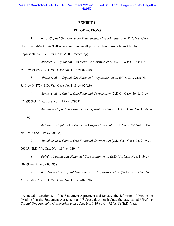# **EXHIBIT 1**

# **LIST OF ACTIONS<sup>1</sup>**

1. *In re: Capital One Consumer Data Security Breach Litigation* (E.D. Va., Case

No. 1:19-md-02915-AJT-JFA) (encompassing all putative class action claims filed by

Representative Plaintiffs in the MDL proceeding)

2. *Ababseh v. Capital One Financial Corporation et al.* (W.D. Wash., Case No.

2:19-cv-01397) (E.D. Va., Case No. 1:19-cv-02940)

3. *Aballo et al. v. Capital One Financial Corporation et al.* (N.D. Cal., Case No. 3:19-cv-04475) (E.D. Va., Case No. 1:19-cv-02929)

4. *Agnew et al. v. Capital One Financial Corporation* (D.D.C., Case No. 1:19-cv-

02489) (E.D. Va., Case No. 1:19-cv-02963)

5. *Aminov v. Capital One Financial Corporation et al.* (E.D. Va., Case No. 1:19-cv-01006)

6. *Anthony v. Capital One Financial Corporation et al.* (E.D. Va., Case Nos. 1:19 cv-00993 and 3:19-cv-00608)

7. *Atachbarian v. Capital One Financial Corporation* (C.D. Cal., Case No. 2:19-cv-06965) (E.D. Va. Case No. 1:19-cv-02944)

8. *Baird v. Capital One Financial Corporation et al.* (E.D. Va. Case Nos. 1:19-cv-00979 and 3:19-cv-00585)

9. *Baisden et al. v. Capital One Financial Corporation et al.* (W.D. Wis., Case No. 3:19-cv-00623) (E.D. Va., Case No. 1:19-cv-02970)

<sup>&</sup>lt;sup>1</sup> As noted in Section 2.1 of the Settlement Agreement and Release, the definition of "Action" or "Actions" in the Settlement Agreement and Release does not include the case styled *Minsky v. Capital One Financial Corporation et al.*, Case No. 1:19-cv-01472 (AJT) (E.D. Va.).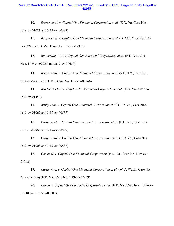#### Case 1:19-md-02915-AJT-JFA Document 2219-1 Filed 01/31/22 Page 41 of 49 PageID# 48958

10. *Barnes et al. v. Capital One Financial Corporation et al.* (E.D. Va. Case Nos. 1:19-cv-01021 and 3:19-cv-00587)

11. *Berger et al. v. Capital One Financial Corporation et al.* (D.D.C., Case No. 1:19 cv-02298) (E.D. Va., Case No. 1:19-cv-02918)

12. *Biaohealth, LLC v. Capital One Financial Corporation et al.* (E.D. Va., Case Nos. 1:19-cv-02957 and 3:19-cv-00650)

13. *Bowen et al. v. Capital One Financial Corporation et al.* (S.D.N.Y., Case No. 1:19-cv-07917) (E.D. Va., Case No. 1:19-cv-02966)

14. *Broderick et al. v. Capital One Financial Corporation et al.* (E.D. Va., Case No. 1:19-cv-01454)

15. *Busby et al. v. Capital One Financial Corporation et al.* (E.D. Va., Case Nos. 1:19-cv-01062 and 3:19-cv-00557)

16. *Carter et al. v. Capital One Financial Corporation et al.* (E.D. Va., Case Nos. 1:19-cv-02950 and 3:19-cv-00557)

17. *Castro et al. v. Capital One Financial Corporation et al.* (E.D. Va., Case Nos. 1:19-cv-01008 and 3:19-cv-00586)

18. *Cox et al. v. Capital One Financial Corporation* (E.D. Va., Case No. 1:19-cv-01042)

19. *Curtis et al. v. Capital One Financial Corporation et al.* (W.D. Wash., Case No. 2:19-cv-1366) (E.D. Va., Case No. 1:19-cv-02939)

20. *Dames v. Capital One Financial Corporation et al.* (E.D. Va., Case Nos. 1:19-cv-01010 and 3:19-cv-00607)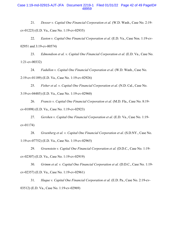#### Case 1:19-md-02915-AJT-JFA Document 2219-1 Filed 01/31/22 Page 42 of 49 PageID# 48959

21. *Desoer v. Capital One Financial Corporation et al.* (W.D. Wash., Case No. 2:19 cv-01223) (E.D. Va., Case No. 1:19-cv-02935)

22. *Easton v. Capital One Financial Corporation et al.* (E.D. Va., Case Nos. 1:19-cv-02951 and 3:19-cv-00574)

23. *Edmondson et al. v. Capital One Financial Corporation et al.* (E.D. Va., Case No. 1:21-cv-00332)

24. *Fadullon v. Capital One Financial Corporation et al.* (W.D. Wash., Case No. 2:19-cv-01189) (E.D. Va., Case No. 1:19-cv-02926)

25. *Fisher et al. v. Capital One Financial Corporation et al.* (N.D. Cal., Case No. 3:19-cv-04485) (E.D. Va., Case No. 1:19-cv-02960)

26. *Francis v. Capital One Financial Corporation et al.* (M.D. Fla., Case No. 8:19 cv-01898) (E.D. Va., Case No. 1:19-cv-02923)

27. *Gershen v. Capital One Financial Corporation et al.* (E.D. Va., Case No. 1:19 cv-01174)

28. *Greenberg et al. v. Capital One Financial Corporation et al.* (S.D.NY., Case No. 1:19-cv-07752) (E.D. Va., Case No. 1:19-cv-02965)

29. *Greenstein v. Capital One Financial Corporation et al.* (D.D.C., Case No. 1:19 cv-02307) (E.D. Va., Case No. 1:19-cv-02919)

30. *Grimm et al. v. Capital One Financial Corporation et al.* (D.D.C., Case No. 1:19 cv-02357) (E.D. Va., Case No. 1:19-cv-02961)

31. *Haque v. Capital One Financial Corporation et al.* (E.D. Pa., Case No. 2:19-cv-03512) (E.D. Va., Case No. 1:19-cv-02969)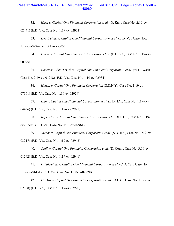#### Case 1:19-md-02915-AJT-JFA Document 2219-1 Filed 01/31/22 Page 43 of 49 PageID# 48960

32. *Harn v. Capital One Financial Corporation et al.* (D. Kan., Case No. 2:19-cv-

02441) (E.D. Va., Case No. 1:19-cv-02922)

33. *Heath et al. v. Capital One Financial Corporation et al.* (E.D. Va., Case Nos. 1:19-cv-02949 and 3:19-cv-00555)

34. *Hilker v. Capital One Financial Corporation et al.* (E.D. Va., Case No. 1:19-cv-00995)

35. *Hoskinson-Short et al. v. Capital One Financial Corporation et al.* (W.D. Wash., Case No. 2:19-cv-01218) (E.D. Va., Case No. 1:19-cv-02934)

36. *Howitt v. Capital One Financial Corporation* (S.D.N.Y., Case No. 1:19-cv-07161) (E.D. Va. Case No. 1:19-cv-02924)

37. *Hun v. Capital One Financial Corporation et al.* (E.D.N.Y., Case No. 1:19-cv-04436) (E.D. Va., Case No. 1:19-cv-02921)

38. *Imperatori v. Capital One Financial Corporation et al.* (D.D.C., Case No. 1:19 cv-02503) (E.D. Va., Case No. 1:19-cv-02964)

39. *Jacobs v. Capital One Financial Corporation et al.* (S.D. Ind., Case No. 1:19-cv-03217) (E.D. Va., Case No, 1:19-cv-02942)

40. *Janik v. Capital One Financial Corporation et al.* (D. Conn., Case No. 3:19-cv-

01242) (E.D. Va., Case No. 1:19-cv-02941)

41. *Labajo et al. v. Capital One Financial Corporation et al.* (C.D. Cal., Case No. 5:19-cv-01431) (E.D. Va., Case No. 1:19-cv-02928)

42. *Lipskar v. Capital One Financial Corporation et al.* (D.D.C., Case No. 1:19-cv-02328) (E.D. Va., Case No. 1:19-cv-02920)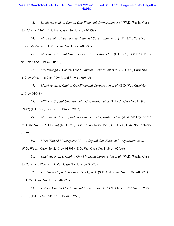#### Case 1:19-md-02915-AJT-JFA Document 2219-1 Filed 01/31/22 Page 44 of 49 PageID# 48961

43. *Lundgren et al. v. Capital One Financial Corporation et al.*(W.D. Wash., Case No. 2:19-cv-1361 (E.D. Va., Case. No. 1:19-cv-02938)

44. *Mallh et al. v. Capital One Financial Corporation et al.* (E.D.N.Y., Case No. 1:19-cv-05040) (E.D. Va., Case No. 1:19-cv-02932)

45. *Materna v. Capital One Financial Corporation et al.* (E.D. Va., Case Nos. 1:19 cv-02953 and 3:19-cv-00581)

46. *McDonough v. Capital One Financial Corporation et al.* (E.D. Va., Case Nos. 1:19-cv-00984, 1:19-cv-02947, and 3:19-cv-00595)

47. *Merritt et al. v. Capital One Financial Corporation et al.* (E.D. Va., Case No. 1:19-cv-01048)

48. *Miller v. Capital One Financial Corporation et al.* (D.D.C., Case No. 1:19-cv-02447) (E.D. Va., Case No. 1:19-cv-02962)

49. *Miranda et al. v. Capital One Financial Corporation et al.* (Alameda Cty. Super. Ct., Case No. RG21113096) (N.D. Cal., Case No. 4:21-cv-08580) (E.D. Va., Case No. 1:21-cv-01259)

50. *Most Wanted Motorsports LLC v. Capital One Financial Corporation et al.* (W.D. Wash., Case No. 2:19-cv-01303) (E.D. Va., Case No. 1:19-cv-02936)

51. *Ouellette et al. v. Capital One Financial Corporation et al.* (W.D. Wash., Case No. 2:19-cv-01203) (E.D. Va., Case No. 1:19-cv-02927)

52. *Perdew v. Capital One Bank (USA), N.A.* (S.D. Cal., Case No. 3:19-cv-01421) (E.D. Va., Case No. 1:19-cv-02925)

53. *Potts v. Capital One Financial Corporation et al.* (N.D.N.Y., Case No. 3:19-cv-01001) (E.D. Va., Case No. 1:19-cv-02971)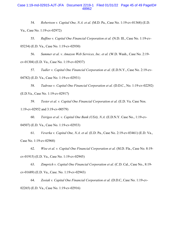#### Case 1:19-md-02915-AJT-JFA Document 2219-1 Filed 01/31/22 Page 45 of 49 PageID# 48962

54. *Robertson v. Capital One, N.A. et al.* (M.D. Pa., Case No. 1:19-cv-01368) (E.D. Va., Case No. 1:19-cv-02972)

55. *Ruffino v. Capital One Financial Corporation et al.* (N.D. Ill., Case No. 1:19-cv-05234) (E.D. Va., Case No. 1:19-cv-02930)

56. *Summer et al. v. Amazon Web Services, Inc. et al.* (W.D. Wash., Case No. 2:19 cv-01304) (E.D. Va., Case No. 1:19-cv-02937)

57. *Tadler v. Capital One Financial Corporation et al.* (E.D.N.Y., Case No. 2:19-cv-04782) (E.D. Va., Case No. 1:19-cv-02931)

58. *Tadrous v. Capital One Financial Corporation et al.* (D.D.C., No. 1:19-cv-02292) (E.D.Va., Case No. 1:19-cv-02917)

59. *Tester et al. v. Capital One Financial Corporation et al.* (E.D. Va. Case Nos. 1:19-cv-02952 and 3:19-cv-00579)

60. *Tsirigos et al. v. Capital One Bank (USA), N.A.* (E.D.N.Y. Case No., 1:19-cv-04507) (E.D. Va., Case No. 1:19-cv-02933)

61. *Veverka v. Capital One, N.A. et al.* (E.D. Pa., Case No. 2:19-cv-03461) (E.D. Va., Case No. 1:19-cv-02968)

62. *Wise et al. v. Capital One Financial Corporation et al.* (M.D. Fla., Case No. 8:19 cv-01915) (E.D. Va., Case No. 1:19-cv-02945)

63. *Zimprich v. Capital One Financial Corporation et al.* (C.D. Cal., Case No., 8:19 cv-01689) (E.D. Va., Case. No. 1:19-cv-02943)

64. *Zosiak v. Capital One Financial Corporation et al.* (D.D.C, Case No. 1:19-cv-02265) (E.D. Va., Case No. 1:19-cv-02916)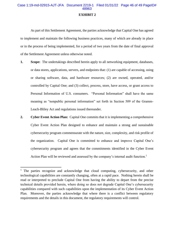# **EXHIBIT 2**

As part of this Settlement Agreement, the parties acknowledge that Capital One has agreed to implement and maintain the following business practices, many of which are already in place or in the process of being implemented, for a period of two years from the date of final approval of the Settlement Agreement unless otherwise noted.

- **1. Scope:** The undertakings described herein apply to all networking equipment, databases, or data stores, applications, servers, and endpoints that: (1) are capable of accessing, using or sharing software, data, and hardware resources; (2) are owned, operated, and/or controlled by Capital One; and (3) collect, process, store, have access, or grant access to Personal Information of U.S. consumers. "Personal Information" shall have the same meaning as "nonpublic personal information" set forth in Section 509 of the Gramm-Leach-Bliley Act and regulations issued thereunder.
- **2. Cyber Event Action Plan:** Capital One commits that it is implementing a comprehensive Cyber Event Action Plan designed to enhance and maintain a strong and sustainable cybersecurity program commensurate with the nature, size, complexity, and risk profile of the organization. Capital One is committed to enhance and improve Capital One's cybersecurity program and agrees that the commitments identified in the Cyber Event Action Plan will be reviewed and assessed by the company's internal audit function.<sup>1</sup>

<sup>&</sup>lt;sup>1</sup> The parties recognize and acknowledge that cloud computing, cybersecurity, and other technological capabilities are constantly changing, often at a rapid pace. Nothing herein shall be read or interpreted to preclude Capital One from having the ability to depart from the precise technical details provided herein, where doing so does not degrade Capital One's cybersecurity capabilities compared with such capabilities upon the implementation of its Cyber Event Action Plan. Moreover, the parties acknowledge that where there is a conflict between regulatory requirements and the details in this document, the regulatory requirements will control.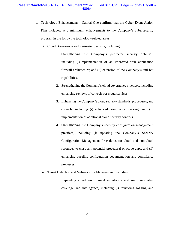# Case 1:19-md-02915-AJT-JFA Document 2219-1 Filed 01/31/22 Page 47 of 49 PageID# 48964

- a. Technology Enhancements: Capital One confirms that the Cyber Event Action Plan includes, at a minimum, enhancements to the Company's cybersecurity program in the following technology-related areas:
	- i. Cloud Governance and Perimeter Security, including:
		- 1. Strengthening the Company's perimeter security defenses, including (i) implementation of an improved web application firewall architecture; and (ii) extension of the Company's anti-bot capabilities.
		- 2. Strengthening the Company's cloud governance practices, including enhancing reviews of controls for cloud services.
		- 3. Enhancing the Company's cloud security standards, procedures, and controls, including (i) enhanced compliance tracking; and, (ii) implementation of additional cloud security controls.
		- 4. Strengthening the Company's security configuration management practices, including (i) updating the Company's Security Configuration Management Procedures for cloud and non-cloud resources to close any potential procedural or scope gaps; and (ii) enhancing baseline configuration documentation and compliance processes.
	- ii. Threat Detection and Vulnerability Management, including:
		- 1. Expanding cloud environment monitoring and improving alert coverage and intelligence, including (i) reviewing logging and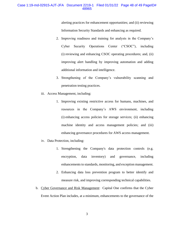### Case 1:19-md-02915-AJT-JFA Document 2219-1 Filed 01/31/22 Page 48 of 49 PageID# 48965

alerting practices for enhancement opportunities; and (ii) reviewing Information Security Standards and enhancing as required.

- 2. Improving readiness and training for analysts in the Company's Cyber Security Operations Center ("CSOC"), including (i) reviewing and enhancing CSOC operating procedures; and, (ii) improving alert handling by improving automation and adding additional information and intelligence.
- 3. Strengthening of the Company's vulnerability scanning and penetration testing practices.
- iii. Access Management, including:
	- 1. Improving existing restrictive access for humans, machines, and resources in the Company's AWS environment, including (i) enhancing access policies for storage services; (ii) enhancing machine identity and access management policies; and (iii) enhancing governance procedures for AWS access management.
- iv. Data Protection, including:
	- 1. Strengthening the Company's data protection controls (e.g. encryption, data inventory) and governance, including enhancements to standards, monitoring, and exception management.
	- 2. Enhancing data loss prevention program to better identify and measure risk, and improving corresponding technical capabilities.
- b. Cyber Governance and Risk Management: Capital One confirms that the Cyber Event Action Plan includes, at a minimum, enhancements to the governance of the